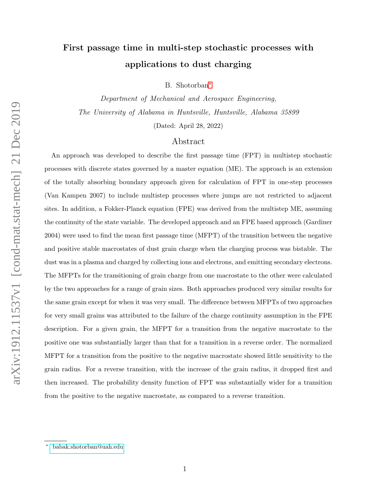# First passage time in multi-step stochastic processes with applications to dust charging

B. Shotorban[∗](#page-0-0)

Department of Mechanical and Aerospace Engineering, The University of Alabama in Huntsville, Huntsville, Alabama 35899

(Dated: April 28, 2022)

# Abstract

An approach was developed to describe the first passage time (FPT) in multistep stochastic processes with discrete states governed by a master equation (ME). The approach is an extension of the totally absorbing boundary approach given for calculation of FPT in one-step processes (Van Kampen 2007) to include multistep processes where jumps are not restricted to adjacent sites. In addition, a Fokker-Planck equation (FPE) was derived from the multistep ME, assuming the continuity of the state variable. The developed approach and an FPE based approach (Gardiner 2004) were used to find the mean first passage time (MFPT) of the transition between the negative and positive stable macrostates of dust grain charge when the charging process was bistable. The dust was in a plasma and charged by collecting ions and electrons, and emitting secondary electrons. The MFPTs for the transitioning of grain charge from one macrostate to the other were calculated by the two approaches for a range of grain sizes. Both approaches produced very similar results for the same grain except for when it was very small. The difference between MFPTs of two approaches for very small grains was attributed to the failure of the charge continuity assumption in the FPE description. For a given grain, the MFPT for a transition from the negative macrostate to the positive one was substantially larger than that for a transition in a reverse order. The normalized MFPT for a transition from the positive to the negative macrostate showed little sensitivity to the grain radius. For a reverse transition, with the increase of the grain radius, it dropped first and then increased. The probability density function of FPT was substantially wider for a transition from the positive to the negative macrostate, as compared to a reverse transition.

<span id="page-0-0"></span><sup>∗</sup> [babak.shotorban@uah.edu](mailto: babak.shotorban@uah.edu)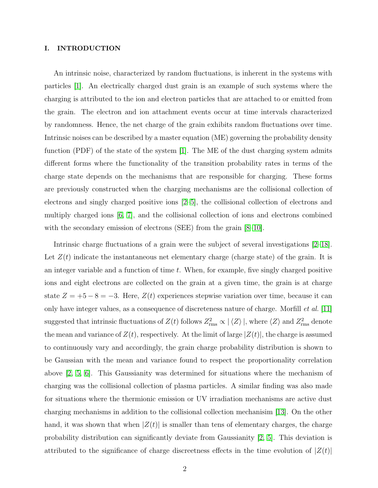# <span id="page-1-0"></span>I. INTRODUCTION

An intrinsic noise, characterized by random fluctuations, is inherent in the systems with particles [\[1\]](#page-17-0). An electrically charged dust grain is an example of such systems where the charging is attributed to the ion and electron particles that are attached to or emitted from the grain. The electron and ion attachment events occur at time intervals characterized by randomness. Hence, the net charge of the grain exhibits random fluctuations over time. Intrinsic noises can be described by a master equation (ME) governing the probability density function (PDF) of the state of the system [\[1\]](#page-17-0). The ME of the dust charging system admits different forms where the functionality of the transition probability rates in terms of the charge state depends on the mechanisms that are responsible for charging. These forms are previously constructed when the charging mechanisms are the collisional collection of electrons and singly charged positive ions [\[2–](#page-17-1)[5\]](#page-17-2), the collisional collection of electrons and multiply charged ions [\[6,](#page-17-3) [7\]](#page-17-4), and the collisional collection of ions and electrons combined with the secondary emission of electrons (SEE) from the grain [\[8–](#page-17-5)[10\]](#page-17-6).

Intrinsic charge fluctuations of a grain were the subject of several investigations [\[2–](#page-17-1)[18\]](#page-17-7). Let  $Z(t)$  indicate the instantaneous net elementary charge (charge state) of the grain. It is an integer variable and a function of time t. When, for example, five singly charged positive ions and eight electrons are collected on the grain at a given time, the grain is at charge state  $Z = +5 - 8 = -3$ . Here,  $Z(t)$  experiences stepwise variation over time, because it can only have integer values, as a consequence of discreteness nature of charge. Morfill et al. [\[11\]](#page-17-8) suggested that intrinsic fluctuations of  $Z(t)$  follows  $Z_{\text{rms}}^2 \propto |\langle Z \rangle|$ , where  $\langle Z \rangle$  and  $Z_{\text{rms}}^2$  denote the mean and variance of  $Z(t)$ , respectively. At the limit of large  $|Z(t)|$ , the charge is assumed to continuously vary and accordingly, the grain charge probability distribution is shown to be Gaussian with the mean and variance found to respect the proportionality correlation above [\[2,](#page-17-1) [5,](#page-17-2) [6\]](#page-17-3). This Gaussianity was determined for situations where the mechanism of charging was the collisional collection of plasma particles. A similar finding was also made for situations where the thermionic emission or UV irradiation mechanisms are active dust charging mechanisms in addition to the collisional collection mechanisim [\[13\]](#page-17-9). On the other hand, it was shown that when  $|Z(t)|$  is smaller than tens of elementary charges, the charge probability distribution can significantly deviate from Gaussianity [\[2,](#page-17-1) [5\]](#page-17-2). This deviation is attributed to the significance of charge discreetness effects in the time evolution of  $|Z(t)|$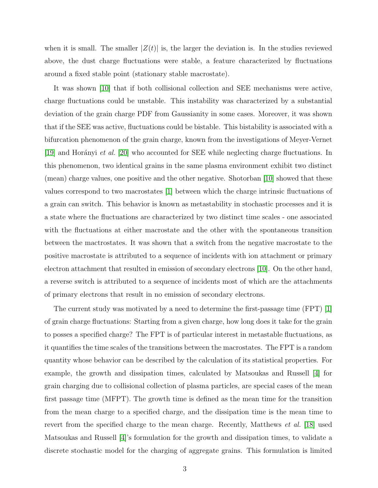when it is small. The smaller  $|Z(t)|$  is, the larger the deviation is. In the studies reviewed above, the dust charge fluctuations were stable, a feature characterized by fluctuations around a fixed stable point (stationary stable macrostate).

It was shown [\[10\]](#page-17-6) that if both collisional collection and SEE mechanisms were active, charge fluctuations could be unstable. This instability was characterized by a substantial deviation of the grain charge PDF from Gaussianity in some cases. Moreover, it was shown that if the SEE was active, fluctuations could be bistable. This bistability is associated with a bifurcation phenomenon of the grain charge, known from the investigations of Meyer-Vernet [\[19\]](#page-17-10) and Horányi *et al.* [\[20\]](#page-17-11) who accounted for SEE while neglecting charge fluctuations. In this phenomenon, two identical grains in the same plasma environment exhibit two distinct (mean) charge values, one positive and the other negative. Shotorban [\[10\]](#page-17-6) showed that these values correspond to two macrostates [\[1\]](#page-17-0) between which the charge intrinsic fluctuations of a grain can switch. This behavior is known as metastability in stochastic processes and it is a state where the fluctuations are characterized by two distinct time scales - one associated with the fluctuations at either macrostate and the other with the spontaneous transition between the mactrostates. It was shown that a switch from the negative macrostate to the positive macrostate is attributed to a sequence of incidents with ion attachment or primary electron attachment that resulted in emission of secondary electrons [\[10\]](#page-17-6). On the other hand, a reverse switch is attributed to a sequence of incidents most of which are the attachments of primary electrons that result in no emission of secondary electrons.

The current study was motivated by a need to determine the first-passage time (FPT) [\[1\]](#page-17-0) of grain charge fluctuations: Starting from a given charge, how long does it take for the grain to posses a specified charge? The FPT is of particular interest in metastable fluctuations, as it quantifies the time scales of the transitions between the macrostates. The FPT is a random quantity whose behavior can be described by the calculation of its statistical properties. For example, the growth and dissipation times, calculated by Matsoukas and Russell [\[4\]](#page-17-12) for grain charging due to collisional collection of plasma particles, are special cases of the mean first passage time (MFPT). The growth time is defined as the mean time for the transition from the mean charge to a specified charge, and the dissipation time is the mean time to revert from the specified charge to the mean charge. Recently, Matthews *et al.* [\[18\]](#page-17-7) used Matsoukas and Russell [\[4\]](#page-17-12)'s formulation for the growth and dissipation times, to validate a discrete stochastic model for the charging of aggregate grains. This formulation is limited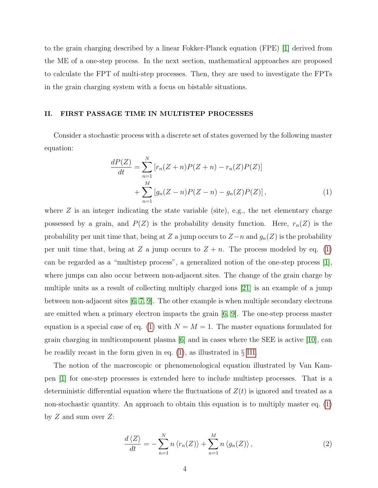to the grain charging described by a linear Fokker-Planck equation (FPE) [\[1\]](#page-17-0) derived from the ME of a one-step process. In the next section, mathematical approaches are proposed to calculate the FPT of multi-step processes. Then, they are used to investigate the FPTs in the grain charging system with a focus on bistable situations.

# II. FIRST PASSAGE TIME IN MULTISTEP PROCESSES

Consider a stochastic process with a discrete set of states governed by the following master equation:

<span id="page-3-0"></span>
$$
\frac{dP(Z)}{dt} = \sum_{n=1}^{N} \left[ r_n (Z+n) P(Z+n) - r_n (Z) P(Z) \right] + \sum_{n=1}^{M} \left[ g_n (Z-n) P(Z-n) - g_n (Z) P(Z) \right],\tag{1}
$$

where  $Z$  is an integer indicating the state variable (site), e.g., the net elementary charge possessed by a grain, and  $P(Z)$  is the probability density function. Here,  $r_n(Z)$  is the probability per unit time that, being at Z a jump occurs to  $Z-n$  and  $g_n(Z)$  is the probability per unit time that, being at Z a jump occurs to  $Z + n$ . The process modeled by eq. [\(1\)](#page-3-0) can be regarded as a "multistep process", a generalized notion of the one-step process [\[1\]](#page-17-0), where jumps can also occur between non-adjacent sites. The change of the grain charge by multiple units as a result of collecting multiply charged ions [\[21\]](#page-17-13) is an example of a jump between non-adjacent sites [\[6,](#page-17-3) [7,](#page-17-4) [9\]](#page-17-14). The other example is when multiple secondary electrons are emitted when a primary electron impacts the grain  $(6, 9]$  $(6, 9]$ . The one-step process master equation is a special case of eq. [\(1\)](#page-3-0) with  $N = M = 1$ . The master equations formulated for grain charging in multicomponent plasma [\[6\]](#page-17-3) and in cases where the SEE is active [\[10\]](#page-17-6), can be readily recast in the form given in eq. [\(1\)](#page-3-0), as illustrated in § [III.](#page-8-0)

The notion of the macroscopic or phenomenological equation illustrated by Van Kampen [\[1\]](#page-17-0) for one-step processes is extended here to include multistep processes. That is a deterministic differential equation where the fluctuations of  $Z(t)$  is ignored and treated as a non-stochastic quantity. An approach to obtain this equation is to multiply master eq. [\(1\)](#page-3-0) by  $Z$  and sum over  $Z$ :

<span id="page-3-1"></span>
$$
\frac{d\langle Z\rangle}{dt} = -\sum_{n=1}^{N} n \langle r_n(Z)\rangle + \sum_{n=1}^{M} n \langle g_n(Z)\rangle, \qquad (2)
$$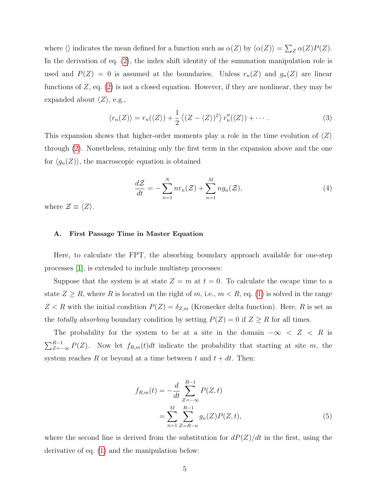where  $\langle \rangle$  indicates the mean defined for a function such as  $\alpha(Z)$  by  $\langle \alpha(Z) \rangle = \sum_{Z} \alpha(Z)P(Z)$ . In the derivation of eq. [\(2\)](#page-3-1), the index shift identity of the summation manipulation role is used and  $P(Z) = 0$  is assumed at the boundaries. Unless  $r_n(Z)$  and  $g_n(Z)$  are linear functions of  $Z$ , eq.  $(2)$  is not a closed equation. However, if they are nonlinear, they may be expanded about  $\langle Z \rangle$ , e.g.,

<span id="page-4-1"></span>
$$
\langle r_n(Z) \rangle = r_n(\langle Z \rangle) + \frac{1}{2} \langle (Z - \langle Z \rangle)^2 \rangle r''_n(\langle Z \rangle) + \cdots. \tag{3}
$$

This expansion shows that higher-order moments play a role in the time evolution of  $\langle Z \rangle$ through [\(2\)](#page-3-1). Nonetheless, retaining only the first term in the expansion above and the one for  $\langle g_n(Z) \rangle$ , the macroscopic equation is obtained

<span id="page-4-0"></span>
$$
\frac{d\mathcal{Z}}{dt} = -\sum_{n=1}^{N} nr_n(\mathcal{Z}) + \sum_{n=1}^{M} n g_n(\mathcal{Z}),\tag{4}
$$

where  $\mathcal{Z} \equiv \langle Z \rangle$ .

#### A. First Passage Time in Master Equation

Here, to calculate the FPT, the absorbing boundary approach available for one-step processes [\[1\]](#page-17-0), is extended to include multistep processes:

Suppose that the system is at state  $Z = m$  at  $t = 0$ . To calculate the escape time to a state  $Z \ge R$ , where R is located on the right of m, i.e.,  $m < R$ , eq. [\(1\)](#page-3-0) is solved in the range  $Z < R$  with the initial condition  $P(Z) = \delta_{Z,m}$  (Kronecker delta function). Here, R is set as the *totally absorbing* boundary condition by setting  $P(Z) = 0$  if  $Z \geq R$  for all times.

The probability for the system to be at a site in the domain  $-\infty < Z < R$  is  $\sum_{Z=-\infty}^{R-1} P(Z)$ . Now let  $f_{R,m}(t)dt$  indicate the probability that starting at site m, the system reaches R or beyond at a time between t and  $t + dt$ . Then:

<span id="page-4-2"></span>
$$
f_{R,m}(t) = -\frac{d}{dt} \sum_{Z=-\infty}^{R-1} P(Z, t)
$$
  
= 
$$
\sum_{n=1}^{M} \sum_{Z=R-n}^{R-1} g_n(Z) P(Z, t),
$$
 (5)

where the second line is derived from the substitution for  $dP(Z)/dt$  in the first, using the derivative of eq. [\(1\)](#page-3-0) and the manipulation below: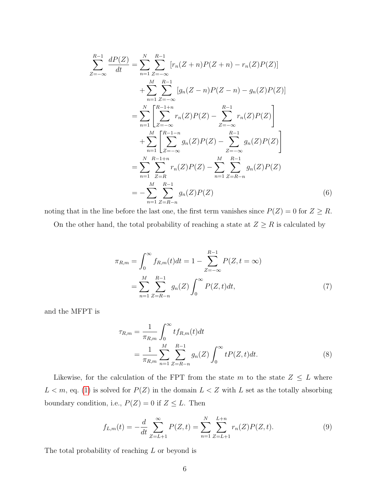$$
\sum_{Z=-\infty}^{R-1} \frac{dP(Z)}{dt} = \sum_{n=1}^{N} \sum_{Z=-\infty}^{R-1} [r_n(Z+n)P(Z+n) - r_n(Z)P(Z)]
$$
  
+ 
$$
\sum_{n=1}^{M} \sum_{Z=-\infty}^{R-1} [g_n(Z-n)P(Z-n) - g_n(Z)P(Z)]
$$
  
= 
$$
\sum_{n=1}^{N} \left[ \sum_{Z=-\infty}^{R-1+n} r_n(Z)P(Z) - \sum_{Z=-\infty}^{R-1} r_n(Z)P(Z) \right]
$$
  
+ 
$$
\sum_{n=1}^{M} \left[ \sum_{Z=-\infty}^{R-1-n} g_n(Z)P(Z) - \sum_{Z=-\infty}^{R-1} g_n(Z)P(Z) \right]
$$
  
= 
$$
\sum_{n=1}^{N} \sum_{Z=R}^{R-1+n} r_n(Z)P(Z) - \sum_{n=1}^{M} \sum_{Z=R-n}^{R-1} g_n(Z)P(Z)
$$
  
= 
$$
- \sum_{n=1}^{M} \sum_{Z=R-n}^{R-1} g_n(Z)P(Z)
$$
(6)

noting that in the line before the last one, the first term vanishes since  $P(Z) = 0$  for  $Z \ge R$ . On the other hand, the total probability of reaching a state at  $Z \geq R$  is calculated by

$$
\pi_{R,m} = \int_0^\infty f_{R,m}(t)dt = 1 - \sum_{Z=-\infty}^{R-1} P(Z, t = \infty)
$$

$$
= \sum_{n=1}^M \sum_{Z=R-n}^{R-1} g_n(Z) \int_0^\infty P(Z, t)dt,
$$
(7)

and the MFPT is

$$
\tau_{R,m} = \frac{1}{\pi_{R,m}} \int_0^\infty t f_{R,m}(t) dt
$$
  
= 
$$
\frac{1}{\pi_{R,m}} \sum_{n=1}^M \sum_{Z=R-n}^{R-1} g_n(Z) \int_0^\infty t P(Z,t) dt.
$$
 (8)

Likewise, for the calculation of the FPT from the state  $m$  to the state  $Z \leq L$  where  $L < m$ , eq. [\(1\)](#page-3-0) is solved for  $P(Z)$  in the domain  $L < Z$  with L set as the totally absorbing boundary condition, i.e.,  $P(Z) = 0$  if  $Z \leq L$ . Then

<span id="page-5-0"></span>
$$
f_{L,m}(t) = -\frac{d}{dt} \sum_{Z=L+1}^{\infty} P(Z,t) = \sum_{n=1}^{N} \sum_{Z=L+1}^{L+n} r_n(Z) P(Z,t).
$$
 (9)

The total probability of reaching  $L$  or beyond is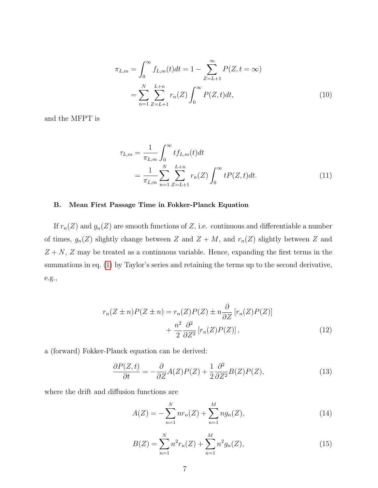$$
\pi_{L,m} = \int_0^\infty f_{L,m}(t)dt = 1 - \sum_{Z=L+1}^\infty P(Z, t = \infty)
$$

$$
= \sum_{n=1}^N \sum_{Z=L+1}^{L+n} r_n(Z) \int_0^\infty P(Z, t)dt,
$$
(10)

and the MFPT is

$$
\tau_{L,m} = \frac{1}{\pi_{L,m}} \int_0^\infty t f_{L,m}(t) dt
$$
  
= 
$$
\frac{1}{\pi_{L,m}} \sum_{n=1}^N \sum_{Z=L+1}^{L+n} r_n(Z) \int_0^\infty t P(Z,t) dt.
$$
 (11)

# B. Mean First Passage Time in Fokker-Planck Equation

If  $r_n(Z)$  and  $g_n(Z)$  are smooth functions of Z, i.e. continuous and differentiable a number of times,  $g_n(Z)$  slightly change between Z and  $Z + M$ , and  $r_n(Z)$  slightly between Z and  $Z + N$ , Z may be treated as a continuous variable. Hence, expanding the first terms in the summations in eq. [\(1\)](#page-3-0) by Taylor's series and retaining the terms up to the second derivative, e.g.,

$$
r_n(Z \pm n)P(Z \pm n) = r_n(Z)P(Z) \pm n\frac{\partial}{\partial Z} [r_n(Z)P(Z)]
$$

$$
+ \frac{n^2}{2} \frac{\partial^2}{\partial Z^2} [r_n(Z)P(Z)], \qquad (12)
$$

a (forward) Fokker-Planck equation can be derived:

<span id="page-6-0"></span>
$$
\frac{\partial P(Z,t)}{\partial t} = -\frac{\partial}{\partial Z}A(Z)P(Z) + \frac{1}{2}\frac{\partial^2}{\partial Z^2}B(Z)P(Z),\tag{13}
$$

where the drift and diffusion functions are

<span id="page-6-1"></span>
$$
A(Z) = -\sum_{n=1}^{N} nr_n(Z) + \sum_{n=1}^{M} n g_n(Z), \qquad (14)
$$

<span id="page-6-2"></span>
$$
B(Z) = \sum_{n=1}^{N} n^2 r_n(Z) + \sum_{n=1}^{M} n^2 g_n(Z),
$$
\n(15)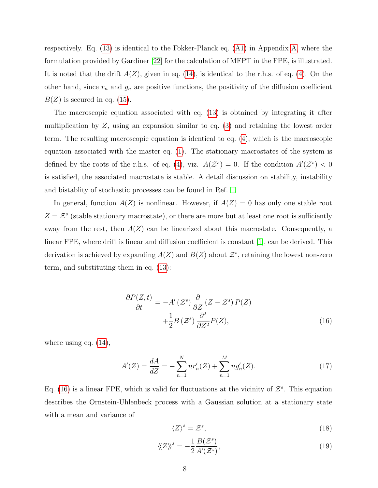respectively. Eq. [\(13\)](#page-6-0) is identical to the Fokker-Planck eq. [\(A1\)](#page-15-0) in Appendix [A,](#page-15-1) where the formulation provided by Gardiner [\[22\]](#page-17-15) for the calculation of MFPT in the FPE, is illustrated. It is noted that the drift  $A(Z)$ , given in eq. [\(14\)](#page-6-1), is identical to the r.h.s. of eq. [\(4\)](#page-4-0). On the other hand, since  $r_n$  and  $g_n$  are positive functions, the positivity of the diffusion coefficient  $B(Z)$  is secured in eq. [\(15\)](#page-6-2).

The macroscopic equation associated with eq. [\(13\)](#page-6-0) is obtained by integrating it after multiplication by  $Z$ , using an expansion similar to eq. [\(3\)](#page-4-1) and retaining the lowest order term. The resulting macroscopic equation is identical to eq. [\(4\)](#page-4-0), which is the macroscopic equation associated with the master eq. [\(1\)](#page-3-0). The stationary macrostates of the system is defined by the roots of the r.h.s. of eq. [\(4\)](#page-4-0), viz.  $A(\mathcal{Z}^s) = 0$ . If the condition  $A'(\mathcal{Z}^s) < 0$ is satisfied, the associated macrostate is stable. A detail discussion on stability, instability and bistablity of stochastic processes can be found in Ref. [1.](#page-17-0)

In general, function  $A(Z)$  is nonlinear. However, if  $A(Z) = 0$  has only one stable root  $Z = \mathcal{Z}^s$  (stable stationary macrostate), or there are more but at least one root is sufficiently away from the rest, then  $A(Z)$  can be linearized about this macrostate. Consequently, a linear FPE, where drift is linear and diffusion coefficient is constant [\[1\]](#page-17-0), can be derived. This derivation is achieved by expanding  $A(Z)$  and  $B(Z)$  about  $\mathcal{Z}^s$ , retaining the lowest non-zero term, and substituting them in eq. [\(13\)](#page-6-0):

<span id="page-7-0"></span>
$$
\frac{\partial P(Z,t)}{\partial t} = -A'(Z^s) \frac{\partial}{\partial Z} (Z - Z^s) P(Z)
$$

$$
+ \frac{1}{2} B(Z^s) \frac{\partial^2}{\partial Z^2} P(Z), \tag{16}
$$

where using eq.  $(14)$ ,

$$
A'(Z) = \frac{dA}{dZ} = -\sum_{n=1}^{N} nr'_n(Z) + \sum_{n=1}^{M} n g'_n(Z). \tag{17}
$$

Eq. [\(16\)](#page-7-0) is a linear FPE, which is valid for fluctuations at the vicinity of  $\mathcal{Z}^s$ . This equation describes the Ornstein-Uhlenbeck process with a Gaussian solution at a stationary state with a mean and variance of

$$
\langle Z \rangle^s = \mathcal{Z}^s,\tag{18}
$$

$$
\langle\!\langle Z \rangle\!\rangle^s = -\frac{1}{2} \frac{B(Z^s)}{A'(Z^s)},\tag{19}
$$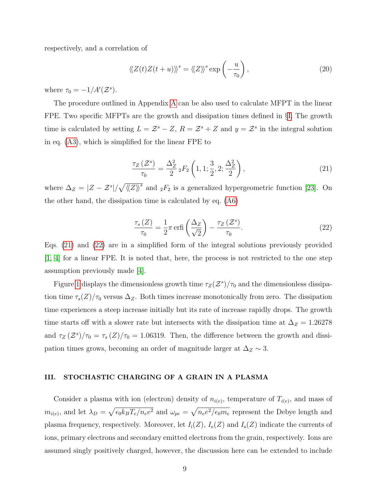respectively, and a correlation of

$$
\langle Z(t)Z(t+u)\rangle^s = \langle \langle Z \rangle \rangle^s \exp\left(-\frac{u}{\tau_0}\right),\tag{20}
$$

where  $\tau_0 = -1/A'(\mathcal{Z}^s)$ .

The procedure outlined in Appendix [A](#page-15-1) can be also used to calculate MFPT in the linear FPE. Two specific MFPTs are the growth and dissipation times defined in §[I.](#page-1-0) The growth time is calculated by setting  $L = \mathcal{Z}^s - Z$ ,  $R = \mathcal{Z}^s + Z$  and  $y = \mathcal{Z}^s$  in the integral solution in eq. [\(A3\)](#page-15-2), which is simplified for the linear FPE to

<span id="page-8-1"></span>
$$
\frac{\tau_Z\left(\mathcal{Z}^s\right)}{\tau_0} = \frac{\Delta_Z^2}{2} {}_2F_2\left(1, 1; \frac{3}{2}, 2; \frac{\Delta_Z^2}{2}\right),\tag{21}
$$

where  $\Delta_Z = |Z - \mathcal{Z}^s| / \sqrt{\langle Z \rangle^s}$  and  ${}_2F_2$  is a generalized hypergeometric function [\[23\]](#page-17-16). On the other hand, the dissipation time is calculated by eq. [\(A6\)](#page-16-0)

<span id="page-8-2"></span>
$$
\frac{\tau_s(Z)}{\tau_0} = \frac{1}{2}\pi \operatorname{erfi}\left(\frac{\Delta_Z}{\sqrt{2}}\right) - \frac{\tau_Z(Z^s)}{\tau_0}.\tag{22}
$$

Eqs. [\(21\)](#page-8-1) and [\(22\)](#page-8-2) are in a simplified form of the integral solutions previously provided [\[1,](#page-17-0) [4\]](#page-17-12) for a linear FPE. It is noted that, here, the process is not restricted to the one step assumption previously made [\[4\]](#page-17-12).

Figure [1](#page-9-0) displays the dimensionless growth time  $\tau_Z(\mathcal{Z}^s)/\tau_0$  and the dimensionless dissipation time  $\tau_s(Z)/\tau_0$  versus  $\Delta_Z$ . Both times increase monotonically from zero. The dissipation time experiences a steep increase initially but its rate of increase rapidly drops. The growth time starts off with a slower rate but intersects with the dissipation time at  $\Delta_Z = 1.26278$ and  $\tau_Z(\mathcal{Z}^s)/\tau_0 = \tau_s(Z)/\tau_0 = 1.06319$ . Then, the difference between the growth and dissipation times grows, becoming an order of magnitude larger at  $\Delta_Z \sim 3$ .

#### <span id="page-8-0"></span>III. STOCHASTIC CHARGING OF A GRAIN IN A PLASMA

Consider a plasma with ion (electron) density of  $n_{i(e)}$ , temperature of  $T_{i(e)}$ , and mass of  $m_{i(e)}$ , and let  $\lambda_D = \sqrt{\epsilon_0 k_B T_e / n_e e^2}$  and  $\omega_{pe} = \sqrt{n_e e^2 / \epsilon_0 m_e}$  represent the Debye length and plasma frequency, respectively. Moreover, let  $I_i(Z)$ ,  $I_e(Z)$  and  $I_s(Z)$  indicate the currents of ions, primary electrons and secondary emitted electrons from the grain, respectively. Ions are assumed singly positively charged, however, the discussion here can be extended to include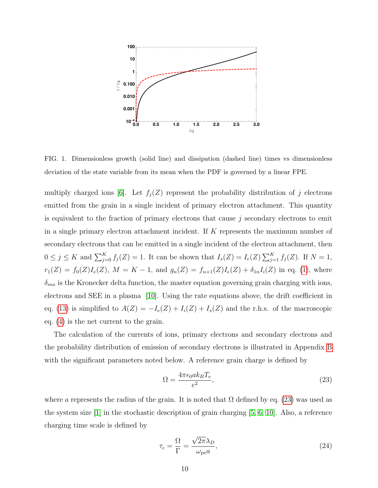

<span id="page-9-0"></span>FIG. 1. Dimensionless growth (solid line) and dissipation (dashed line) times vs dimensionless deviation of the state variable from its mean when the PDF is governed by a linear FPE.

multiply charged ions [\[6\]](#page-17-3). Let  $f_j(Z)$  represent the probability distribution of j electrons emitted from the grain in a single incident of primary electron attachment. This quantity is equivalent to the fraction of primary electrons that cause  $j$  secondary electrons to emit in a single primary electron attachment incident. If  $K$  represents the maximum number of secondary electrons that can be emitted in a single incident of the electron attachment, then  $0 \leq j \leq K$  and  $\sum_{j=0}^{K} f_j(Z) = 1$ . It can be shown that  $I_s(Z) = I_e(Z) \sum_{j=1}^{K} f_j(Z)$ . If  $N = 1$ ,  $r_1(Z) = f_0(Z)I_e(Z), M = K - 1$ , and  $g_n(Z) = f_{n+1}(Z)I_e(Z) + \delta_{1n}I_i(Z)$  in eq. [\(1\)](#page-3-0), where  $\delta_{mn}$  is the Kronecker delta function, the master equation governing grain charging with ions, electrons and SEE in a plasma [\[10\]](#page-17-6). Using the rate equations above, the drift coefficient in eq. [\(13\)](#page-6-0) is simplified to  $A(Z) = -I_e(Z) + I_i(Z) + I_s(Z)$  and the r.h.s. of the macroscopic eq. [\(4\)](#page-4-0) is the net current to the grain.

The calculation of the currents of ions, primary electrons and secondary electrons and the probability distribution of emission of secondary electrons is illustrated in Appendix [B](#page-16-1) with the significant parameters noted below. A reference grain charge is defined by

<span id="page-9-1"></span>
$$
\Omega = \frac{4\pi\epsilon_0 a k_B T_e}{e^2},\tag{23}
$$

where a represents the radius of the grain. It is noted that  $\Omega$  defined by eq. [\(23\)](#page-9-1) was used as the system size  $[1]$  in the stochastic description of grain charging  $[5, 6, 10]$  $[5, 6, 10]$  $[5, 6, 10]$ . Also, a reference charging time scale is defined by

$$
\tau_c = \frac{\Omega}{\Gamma} = \frac{\sqrt{2\pi}\lambda_D}{\omega_{\rm pe} a},\tag{24}
$$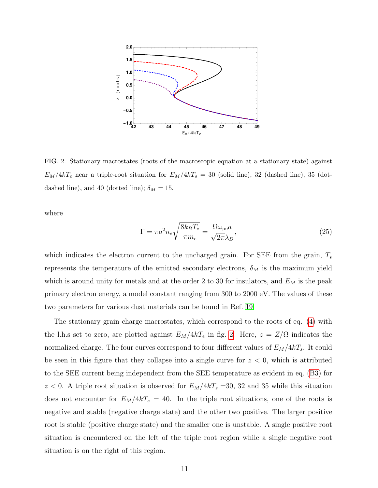

<span id="page-10-0"></span>FIG. 2. Stationary macrostates (roots of the macroscopic equation at a stationary state) against  $E_M/4kT_e$  near a triple-root situation for  $E_M/4kT_s = 30$  (solid line), 32 (dashed line), 35 (dotdashed line), and 40 (dotted line);  $\delta_M = 15$ .

where

$$
\Gamma = \pi a^2 n_e \sqrt{\frac{8k_B T_e}{\pi m_e}} = \frac{\Omega \omega_{\text{pe}} a}{\sqrt{2\pi} \lambda_D},\tag{25}
$$

which indicates the electron current to the uncharged grain. For SEE from the grain,  $T_s$ represents the temperature of the emitted secondary electrons,  $\delta_M$  is the maximum yield which is around unity for metals and at the order 2 to 30 for insulators, and  $E_M$  is the peak primary electron energy, a model constant ranging from 300 to 2000 eV. The values of these two parameters for various dust materials can be found in Ref. [19.](#page-17-10)

The stationary grain charge macrostates, which correspond to the roots of eq. [\(4\)](#page-4-0) with the l.h.s set to zero, are plotted against  $E_M/4kT_e$  in fig. [2.](#page-10-0) Here,  $z = Z/\Omega$  indicates the normalized charge. The four curves correspond to four different values of  $E_M/4kT_s$ . It could be seen in this figure that they collapse into a single curve for  $z < 0$ , which is attributed to the SEE current being independent from the SEE temperature as evident in eq. [\(B3\)](#page-16-2) for  $z < 0$ . A triple root situation is observed for  $E_M/4kT_s = 30$ , 32 and 35 while this situation does not encounter for  $E_M/4kT_s = 40$ . In the triple root situations, one of the roots is negative and stable (negative charge state) and the other two positive. The larger positive root is stable (positive charge state) and the smaller one is unstable. A single positive root situation is encountered on the left of the triple root region while a single negative root situation is on the right of this region.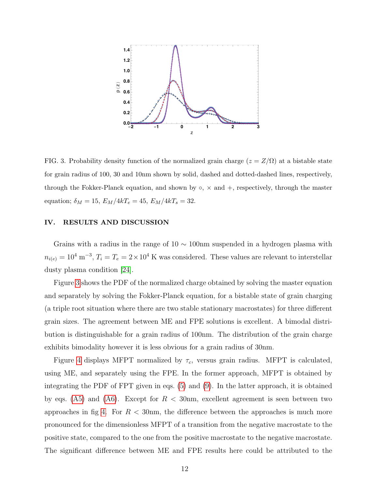

<span id="page-11-0"></span>FIG. 3. Probability density function of the normalized grain charge  $(z = Z/\Omega)$  at a bistable state for grain radius of 100, 30 and 10nm shown by solid, dashed and dotted-dashed lines, respectively, through the Fokker-Planck equation, and shown by  $\circ$ ,  $\times$  and  $+$ , respectively, through the master equation;  $\delta_M = 15, E_M/4kT_e = 45, E_M/4kT_s = 32.$ 

# IV. RESULTS AND DISCUSSION

Grains with a radius in the range of  $10 \sim 100$  nm suspended in a hydrogen plasma with  $n_{i(e)} = 10^4 \text{ m}^{-3}, T_i = T_e = 2 \times 10^4 \text{ K}$  was considered. These values are relevant to interstellar dusty plasma condition [\[24\]](#page-18-0).

Figure [3](#page-11-0) shows the PDF of the normalized charge obtained by solving the master equation and separately by solving the Fokker-Planck equation, for a bistable state of grain charging (a triple root situation where there are two stable stationary macrostates) for three different grain sizes. The agreement between ME and FPE solutions is excellent. A bimodal distribution is distinguishable for a grain radius of 100nm. The distribution of the grain charge exhibits bimodality however it is less obvious for a grain radius of 30nm.

Figure [4](#page-12-0) displays MFPT normalized by  $\tau_c$ , versus grain radius. MFPT is calculated, using ME, and separately using the FPE. In the former approach, MFPT is obtained by integrating the PDF of FPT given in eqs. [\(5\)](#page-4-2) and [\(9\)](#page-5-0). In the latter approach, it is obtained by eqs. [\(A5\)](#page-16-3) and [\(A6\)](#page-16-0). Except for  $R < 30$ nm, excellent agreement is seen between two approaches in fig [4.](#page-12-0) For  $R < 30$ nm, the difference between the approaches is much more pronounced for the dimensionless MFPT of a transition from the negative macrostate to the positive state, compared to the one from the positive macrostate to the negative macrostate. The significant difference between ME and FPE results here could be attributed to the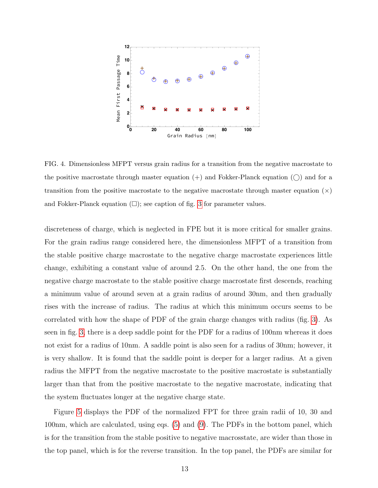

<span id="page-12-0"></span>FIG. 4. Dimensionless MFPT versus grain radius for a transition from the negative macrostate to the positive macrostate through master equation  $(+)$  and Fokker-Planck equation  $(%)$  and for a transition from the positive macrostate to the negative macrostate through master equation  $(x)$ and Fokker-Planck equation  $(\square)$ ; see caption of fig. [3](#page-11-0) for parameter values.

discreteness of charge, which is neglected in FPE but it is more critical for smaller grains. For the grain radius range considered here, the dimensionless MFPT of a transition from the stable positive charge macrostate to the negative charge macrostate experiences little change, exhibiting a constant value of around 2.5. On the other hand, the one from the negative charge macrostate to the stable positive charge macrostate first descends, reaching a minimum value of around seven at a grain radius of around 30nm, and then gradually rises with the increase of radius. The radius at which this minimum occurs seems to be correlated with how the shape of PDF of the grain charge changes with radius (fig. [3\)](#page-11-0). As seen in fig. [3,](#page-11-0) there is a deep saddle point for the PDF for a radius of 100nm whereas it does not exist for a radius of 10nm. A saddle point is also seen for a radius of 30nm; however, it is very shallow. It is found that the saddle point is deeper for a larger radius. At a given radius the MFPT from the negative macrostate to the positive macrostate is substantially larger than that from the positive macrostate to the negative macrostate, indicating that the system fluctuates longer at the negative charge state.

Figure [5](#page-13-0) displays the PDF of the normalized FPT for three grain radii of 10, 30 and 100nm, which are calculated, using eqs. [\(5\)](#page-4-2) and [\(9\)](#page-5-0). The PDFs in the bottom panel, which is for the transition from the stable positive to negative macrosstate, are wider than those in the top panel, which is for the reverse transition. In the top panel, the PDFs are similar for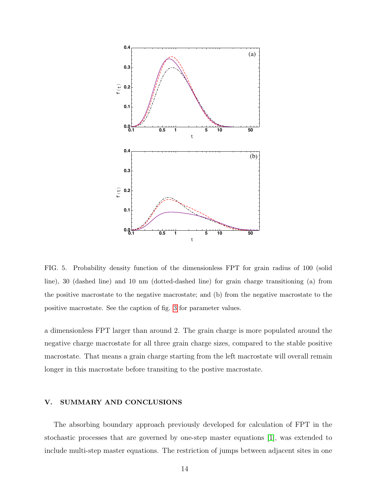

<span id="page-13-0"></span>FIG. 5. Probability density function of the dimensionless FPT for grain radius of 100 (solid line), 30 (dashed line) and 10 nm (dotted-dashed line) for grain charge transitioning (a) from the positive macrostate to the negative macrostate; and (b) from the negative macrostate to the positive macrostate. See the caption of fig. 3 for parameter values.

a dimensionless FPT larger than around 2. The grain charge is more populated around the negative charge macrostate for all three grain charge sizes, compared to the stable positive macrostate. That means a grain charge starting from the left macrostate will overall remain longer in this macrostate before transiting to the postive macrostate.

#### **SUMMARY AND CONCLUSIONS** V.

The absorbing boundary approach previously developed for calculation of FPT in the stochastic processes that are governed by one-step master equations  $[1]$ , was extended to include multi-step master equations. The restriction of jumps between adjacent sites in one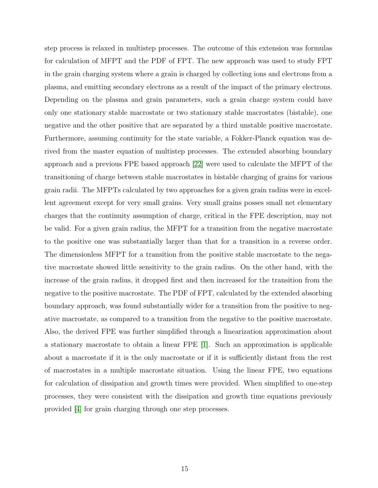step process is relaxed in multistep processes. The outcome of this extension was formulas for calculation of MFPT and the PDF of FPT. The new approach was used to study FPT in the grain charging system where a grain is charged by collecting ions and electrons from a plasma, and emitting secondary electrons as a result of the impact of the primary electrons. Depending on the plasma and grain parameters, such a grain charge system could have only one stationary stable macrostate or two stationary stable macrostates (bistable), one negative and the other positive that are separated by a third unstable positive macrostate. Furthermore, assuming continuity for the state variable, a Fokker-Planck equation was derived from the master equation of multistep processes. The extended absorbing boundary approach and a previous FPE based approach [\[22\]](#page-17-15) were used to calculate the MFPT of the transitioning of charge between stable macrostates in bistable charging of grains for various grain radii. The MFPTs calculated by two approaches for a given grain radius were in excellent agreement except for very small grains. Very small grains posses small net elementary charges that the continuity assumption of charge, critical in the FPE description, may not be valid. For a given grain radius, the MFPT for a transition from the negative macrostate to the positive one was substantially larger than that for a transition in a reverse order. The dimensionless MFPT for a transition from the positive stable macrostate to the negative macrostate showed little sensitivity to the grain radius. On the other hand, with the increase of the grain radius, it dropped first and then increased for the transition from the negative to the positive macrostate. The PDF of FPT, calculated by the extended absorbing boundary approach, was found substantially wider for a transition from the positive to negative macrostate, as compared to a transition from the negative to the positive macrostate. Also, the derived FPE was further simplified through a linearization approximation about a stationary macrostate to obtain a linear FPE [\[1\]](#page-17-0). Such an approximation is applicable about a macrostate if it is the only macrostate or if it is sufficiently distant from the rest of macrostates in a multiple macrostate situation. Using the linear FPE, two equations for calculation of dissipation and growth times were provided. When simplified to one-step processes, they were consistent with the dissipation and growth time equations previously provided [\[4\]](#page-17-12) for grain charging through one step processes.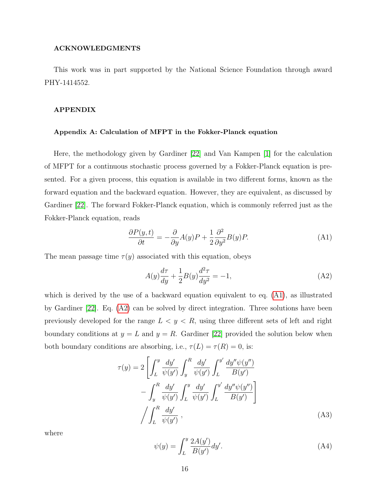# ACKNOWLEDGMENTS

This work was in part supported by the National Science Foundation through award PHY-1414552.

# APPENDIX

### <span id="page-15-1"></span>Appendix A: Calculation of MFPT in the Fokker-Planck equation

Here, the methodology given by Gardiner [\[22\]](#page-17-15) and Van Kampen [\[1\]](#page-17-0) for the calculation of MFPT for a continuous stochastic process governed by a Fokker-Planck equation is presented. For a given process, this equation is available in two different forms, known as the forward equation and the backward equation. However, they are equivalent, as discussed by Gardiner [\[22\]](#page-17-15). The forward Fokker-Planck equation, which is commonly referred just as the Fokker-Planck equation, reads

<span id="page-15-0"></span>
$$
\frac{\partial P(y,t)}{\partial t} = -\frac{\partial}{\partial y}A(y)P + \frac{1}{2}\frac{\partial^2}{\partial y^2}B(y)P.
$$
\n(A1)

The mean passage time  $\tau(y)$  associated with this equation, obeys

<span id="page-15-3"></span>
$$
A(y)\frac{d\tau}{dy} + \frac{1}{2}B(y)\frac{d^2\tau}{dy^2} = -1,
$$
\n(A2)

which is derived by the use of a backward equation equivalent to eq. [\(A1\)](#page-15-0), as illustrated by Gardiner [\[22\]](#page-17-15). Eq. [\(A2\)](#page-15-3) can be solved by direct integration. Three solutions have been previously developed for the range  $L < y < R$ , using three different sets of left and right boundary conditions at  $y = L$  and  $y = R$ . Gardiner [\[22\]](#page-17-15) provided the solution below when both boundary conditions are absorbing, i.e.,  $\tau(L) = \tau(R) = 0$ , is:

<span id="page-15-2"></span>
$$
\tau(y) = 2 \left[ \int_L^y \frac{dy'}{\psi(y')} \int_y^R \frac{dy'}{\psi(y')} \int_L^{y'} \frac{dy'' \psi(y'')}{B(y')} - \int_y^R \frac{dy'}{\psi(y')} \int_L^y \frac{dy'}{\psi(y')} \int_L^{y'} \frac{dy'' \psi(y'')}{B(y')} \right]
$$

$$
/ \int_L^R \frac{dy'}{\psi(y')} , \qquad (A3)
$$

where

$$
\psi(y) = \int_{L}^{y} \frac{2A(y')}{B(y')} dy'.\tag{A4}
$$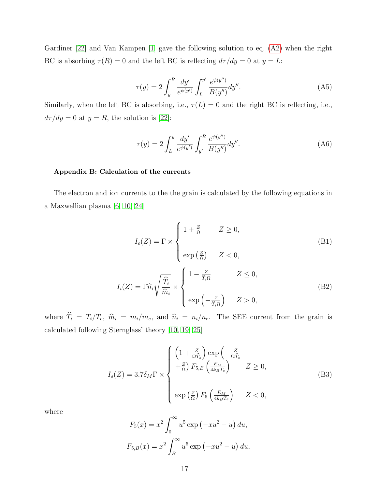Gardiner [\[22\]](#page-17-15) and Van Kampen [\[1\]](#page-17-0) gave the following solution to eq. [\(A2\)](#page-15-3) when the right BC is absorbing  $\tau(R) = 0$  and the left BC is reflecting  $d\tau/dy = 0$  at  $y = L$ :

<span id="page-16-3"></span>
$$
\tau(y) = 2 \int_{y}^{R} \frac{dy'}{e^{\psi(y')}} \int_{L}^{y'} \frac{e^{\psi(y')}}{B(y'')} dy''.
$$
 (A5)

Similarly, when the left BC is absorbing, i.e.,  $\tau(L) = 0$  and the right BC is reflecting, i.e.,  $d\tau/dy = 0$  at  $y = R$ , the solution is [\[22\]](#page-17-15):

<span id="page-16-0"></span>
$$
\tau(y) = 2 \int_{L}^{y} \frac{dy'}{e^{\psi(y')}} \int_{y'}^{R} \frac{e^{\psi(y'')}}{B(y'')} dy''.
$$
\n(A6)

# <span id="page-16-1"></span>Appendix B: Calculation of the currents

The electron and ion currents to the the grain is calculated by the following equations in a Maxwellian plasma [\[6,](#page-17-3) [10,](#page-17-6) [24\]](#page-18-0)

$$
I_e(Z) = \Gamma \times \begin{cases} 1 + \frac{Z}{\Omega} & Z \ge 0, \\ \exp\left(\frac{Z}{\Omega}\right) & Z < 0, \end{cases}
$$
(B1)  

$$
I_i(Z) = \Gamma \hat{n}_i \sqrt{\frac{\hat{T}_i}{\hat{m}_i}} \times \begin{cases} 1 - \frac{Z}{\hat{T}_i \Omega} & Z \le 0, \\ 0, & (B2) \end{cases}
$$

where 
$$
\hat{T}_i = T_i/T_e
$$
,  $\hat{m}_i = m_i/m_e$ , and  $\hat{n}_i = n_i/n_e$ . The SEE current from the grain is

calculated following Sternglass' theory [\[10,](#page-17-6) [19,](#page-17-10) [25\]](#page-18-1)

<span id="page-16-2"></span>
$$
I_s(Z) = 3.7 \delta_M \Gamma \times \begin{cases} \left(1 + \frac{Z}{\Omega \hat{T}_s}\right) \exp\left(-\frac{Z}{\Omega \hat{T}_s}\right) \\ +\frac{Z}{\Omega} \right) F_{5,B} \left(\frac{E_M}{4k_B T_e}\right) & Z \ge 0, \\ \exp\left(\frac{Z}{\Omega}\right) F_5 \left(\frac{E_M}{4k_B T_e}\right) & Z < 0, \end{cases} \tag{B3}
$$

where

$$
F_5(x) = x^2 \int_0^\infty u^5 \exp\left(-xu^2 - u\right) du,
$$
  

$$
F_{5,B}(x) = x^2 \int_B^\infty u^5 \exp\left(-xu^2 - u\right) du,
$$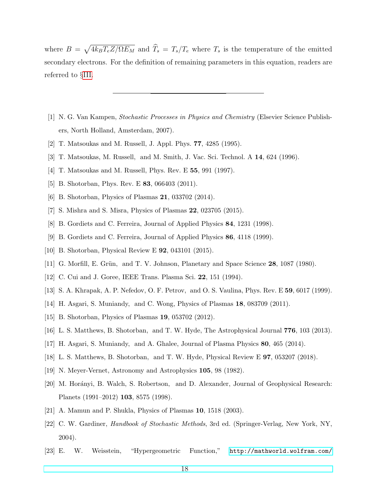where  $B = \sqrt{4k_B T_e Z/\Omega E_M}$  and  $\hat{T}_s = T_s/T_e$  where  $T_s$  is the temperature of the emitted secondary electrons. For the definition of remaining parameters in this equation, readers are referred to §[III.](#page-8-0)

- <span id="page-17-0"></span>[1] N. G. Van Kampen, Stochastic Processes in Physics and Chemistry (Elsevier Science Publishers, North Holland, Amsterdam, 2007).
- <span id="page-17-1"></span>[2] T. Matsoukas and M. Russell, J. Appl. Phys. 77, 4285 (1995).
- <span id="page-17-12"></span>[3] T. Matsoukas, M. Russell, and M. Smith, J. Vac. Sci. Technol. A 14, 624 (1996).
- <span id="page-17-2"></span>[4] T. Matsoukas and M. Russell, Phys. Rev. E 55, 991 (1997).
- <span id="page-17-3"></span>[5] B. Shotorban, Phys. Rev. E **83**, 066403 (2011).
- <span id="page-17-4"></span>[6] B. Shotorban, Physics of Plasmas 21, 033702 (2014).
- <span id="page-17-5"></span>[7] S. Mishra and S. Misra, Physics of Plasmas 22, 023705 (2015).
- <span id="page-17-14"></span>[8] B. Gordiets and C. Ferreira, Journal of Applied Physics 84, 1231 (1998).
- <span id="page-17-6"></span>[9] B. Gordiets and C. Ferreira, Journal of Applied Physics 86, 4118 (1999).
- <span id="page-17-8"></span>[10] B. Shotorban, Physical Review E 92, 043101 (2015).
- [11] G. Morfill, E. Grün, and T. V. Johnson, Planetary and Space Science  $28$ , 1087 (1980).
- <span id="page-17-9"></span>[12] C. Cui and J. Goree, IEEE Trans. Plasma Sci. 22, 151 (1994).
- [13] S. A. Khrapak, A. P. Nefedov, O. F. Petrov, and O. S. Vaulina, Phys. Rev. E 59, 6017 (1999).
- [14] H. Asgari, S. Muniandy, and C. Wong, Physics of Plasmas 18, 083709 (2011).
- [15] B. Shotorban, Physics of Plasmas 19, 053702 (2012).
- [16] L. S. Matthews, B. Shotorban, and T. W. Hyde, The Astrophysical Journal 776, 103 (2013).
- <span id="page-17-7"></span>[17] H. Asgari, S. Muniandy, and A. Ghalee, Journal of Plasma Physics 80, 465 (2014).
- <span id="page-17-10"></span>[18] L. S. Matthews, B. Shotorban, and T. W. Hyde, Physical Review E 97, 053207 (2018).
- <span id="page-17-11"></span>[19] N. Meyer-Vernet, Astronomy and Astrophysics 105, 98 (1982).
- [20] M. Horányi, B. Walch, S. Robertson, and D. Alexander, Journal of Geophysical Research: Planets (1991–2012) 103, 8575 (1998).
- <span id="page-17-15"></span><span id="page-17-13"></span>[21] A. Mamun and P. Shukla, Physics of Plasmas 10, 1518 (2003).
- [22] C. W. Gardiner, Handbook of Stochastic Methods, 3rd ed. (Springer-Verlag, New York, NY, 2004).
- <span id="page-17-16"></span>[23] E. W. Weisstein, "Hypergeometric Function," [http://mathworld.wolfram.com/](http://mathworld.wolfram.com/HypergeometricFunction.html)